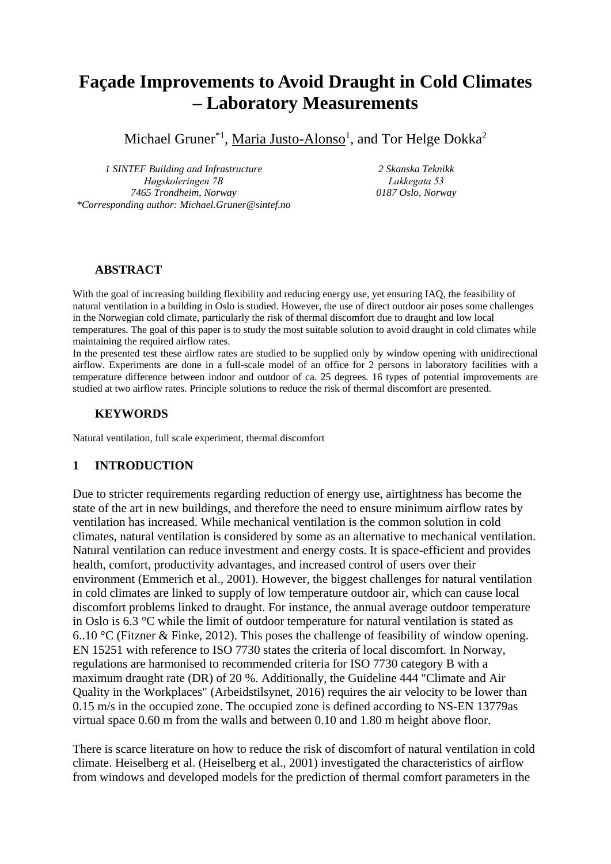# **Façade Improvements to Avoid Draught in Cold Climates – Laboratory Measurements**

Michael Gruner<sup>\*1</sup>, Maria Justo-Alonso<sup>1</sup>, and Tor Helge Dokka<sup>2</sup>

*1 SINTEF Building and Infrastructure Høgskoleringen 7B 7465 Trondheim, Norway \*Corresponding author: Michael.Gruner@sintef.no*

*2 Skanska Teknikk Lakkegata 53 0187 Oslo, Norway*

### **ABSTRACT**

With the goal of increasing building flexibility and reducing energy use, yet ensuring IAQ, the feasibility of natural ventilation in a building in Oslo is studied. However, the use of direct outdoor air poses some challenges in the Norwegian cold climate, particularly the risk of thermal discomfort due to draught and low local temperatures. The goal of this paper is to study the most suitable solution to avoid draught in cold climates while maintaining the required airflow rates.

In the presented test these airflow rates are studied to be supplied only by window opening with unidirectional airflow. Experiments are done in a full-scale model of an office for 2 persons in laboratory facilities with a temperature difference between indoor and outdoor of ca. 25 degrees. 16 types of potential improvements are studied at two airflow rates. Principle solutions to reduce the risk of thermal discomfort are presented.

### **KEYWORDS**

Natural ventilation, full scale experiment, thermal discomfort

## **1 INTRODUCTION**

Due to stricter requirements regarding reduction of energy use, airtightness has become the state of the art in new buildings, and therefore the need to ensure minimum airflow rates by ventilation has increased. While mechanical ventilation is the common solution in cold climates, natural ventilation is considered by some as an alternative to mechanical ventilation. Natural ventilation can reduce investment and energy costs. It is space-efficient and provides health, comfort, productivity advantages, and increased control of users over their environment (Emmerich et al., 2001). However, the biggest challenges for natural ventilation in cold climates are linked to supply of low temperature outdoor air, which can cause local discomfort problems linked to draught. For instance, the annual average outdoor temperature in Oslo is 6.3 °C while the limit of outdoor temperature for natural ventilation is stated as 6..10 °C (Fitzner & Finke, 2012). This poses the challenge of feasibility of window opening. EN 15251 with reference to ISO 7730 states the criteria of local discomfort. In Norway, regulations are harmonised to recommended criteria for ISO 7730 category B with a maximum draught rate (DR) of 20 %. Additionally, the Guideline 444 "Climate and Air Quality in the Workplaces" (Arbeidstilsynet, 2016) requires the air velocity to be lower than 0.15 m/s in the occupied zone. The occupied zone is defined according to NS-EN 13779as virtual space 0.60 m from the walls and between 0.10 and 1.80 m height above floor.

There is scarce literature on how to reduce the risk of discomfort of natural ventilation in cold climate. Heiselberg et al. (Heiselberg et al., 2001) investigated the characteristics of airflow from windows and developed models for the prediction of thermal comfort parameters in the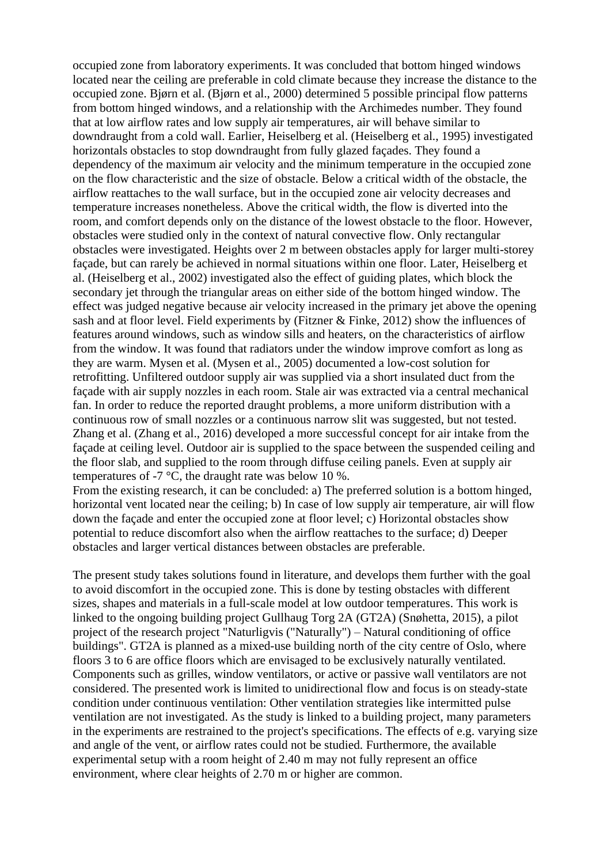occupied zone from laboratory experiments. It was concluded that bottom hinged windows located near the ceiling are preferable in cold climate because they increase the distance to the occupied zone. Bjørn et al. (Bjørn et al., 2000) determined 5 possible principal flow patterns from bottom hinged windows, and a relationship with the Archimedes number. They found that at low airflow rates and low supply air temperatures, air will behave similar to downdraught from a cold wall. Earlier, Heiselberg et al. (Heiselberg et al., 1995) investigated horizontals obstacles to stop downdraught from fully glazed façades. They found a dependency of the maximum air velocity and the minimum temperature in the occupied zone on the flow characteristic and the size of obstacle. Below a critical width of the obstacle, the airflow reattaches to the wall surface, but in the occupied zone air velocity decreases and temperature increases nonetheless. Above the critical width, the flow is diverted into the room, and comfort depends only on the distance of the lowest obstacle to the floor. However, obstacles were studied only in the context of natural convective flow. Only rectangular obstacles were investigated. Heights over 2 m between obstacles apply for larger multi-storey façade, but can rarely be achieved in normal situations within one floor. Later, Heiselberg et al. (Heiselberg et al., 2002) investigated also the effect of guiding plates, which block the secondary jet through the triangular areas on either side of the bottom hinged window. The effect was judged negative because air velocity increased in the primary jet above the opening sash and at floor level. Field experiments by (Fitzner & Finke, 2012) show the influences of features around windows, such as window sills and heaters, on the characteristics of airflow from the window. It was found that radiators under the window improve comfort as long as they are warm. Mysen et al. (Mysen et al., 2005) documented a low-cost solution for retrofitting. Unfiltered outdoor supply air was supplied via a short insulated duct from the façade with air supply nozzles in each room. Stale air was extracted via a central mechanical fan. In order to reduce the reported draught problems, a more uniform distribution with a continuous row of small nozzles or a continuous narrow slit was suggested, but not tested. Zhang et al. (Zhang et al., 2016) developed a more successful concept for air intake from the façade at ceiling level. Outdoor air is supplied to the space between the suspended ceiling and the floor slab, and supplied to the room through diffuse ceiling panels. Even at supply air temperatures of -7 °C, the draught rate was below 10 %.

From the existing research, it can be concluded: a) The preferred solution is a bottom hinged, horizontal vent located near the ceiling; b) In case of low supply air temperature, air will flow down the façade and enter the occupied zone at floor level; c) Horizontal obstacles show potential to reduce discomfort also when the airflow reattaches to the surface; d) Deeper obstacles and larger vertical distances between obstacles are preferable.

The present study takes solutions found in literature, and develops them further with the goal to avoid discomfort in the occupied zone. This is done by testing obstacles with different sizes, shapes and materials in a full-scale model at low outdoor temperatures. This work is linked to the ongoing building project Gullhaug Torg 2A (GT2A) (Snøhetta, 2015), a pilot project of the research project "Naturligvis ("Naturally") – Natural conditioning of office buildings". GT2A is planned as a mixed-use building north of the city centre of Oslo, where floors 3 to 6 are office floors which are envisaged to be exclusively naturally ventilated. Components such as grilles, window ventilators, or active or passive wall ventilators are not considered. The presented work is limited to unidirectional flow and focus is on steady-state condition under continuous ventilation: Other ventilation strategies like intermitted pulse ventilation are not investigated. As the study is linked to a building project, many parameters in the experiments are restrained to the project's specifications. The effects of e.g. varying size and angle of the vent, or airflow rates could not be studied. Furthermore, the available experimental setup with a room height of 2.40 m may not fully represent an office environment, where clear heights of 2.70 m or higher are common.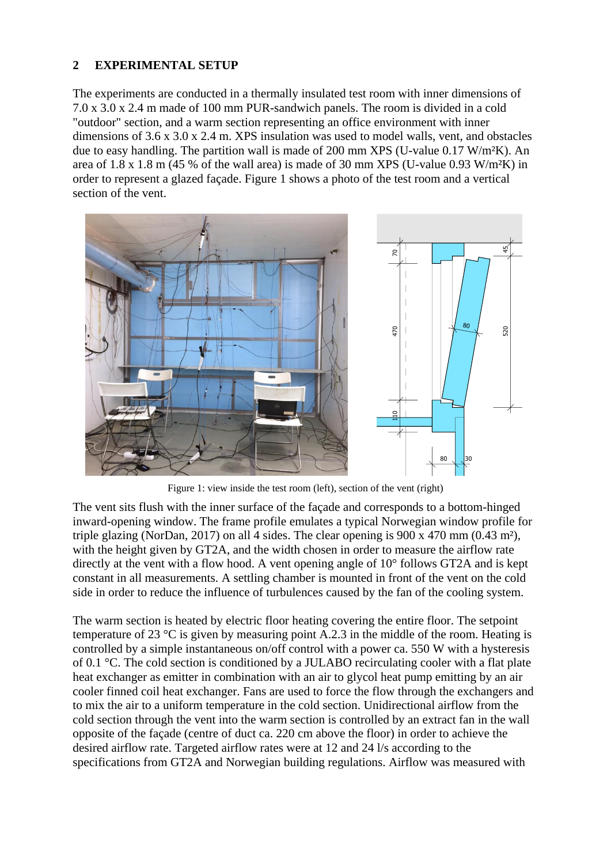### **2 EXPERIMENTAL SETUP**

The experiments are conducted in a thermally insulated test room with inner dimensions of 7.0 x 3.0 x 2.4 m made of 100 mm PUR-sandwich panels. The room is divided in a cold "outdoor" section, and a warm section representing an office environment with inner dimensions of 3.6 x 3.0 x 2.4 m. XPS insulation was used to model walls, vent, and obstacles due to easy handling. The partition wall is made of 200 mm XPS (U-value 0.17 W/m<sup>2</sup>K). An area of  $1.8 \times 1.8$  m (45 % of the wall area) is made of 30 mm XPS (U-value 0.93 W/m<sup>2</sup>K) in order to represent a glazed façade. [Figure 1](#page-2-0) shows a photo of the test room and a vertical section of the vent.



Figure 1: view inside the test room (left), section of the vent (right)

<span id="page-2-0"></span>The vent sits flush with the inner surface of the façade and corresponds to a bottom-hinged inward-opening window. The frame profile emulates a typical Norwegian window profile for triple glazing (NorDan, 2017) on all 4 sides. The clear opening is 900 x 470 mm (0.43 m²), with the height given by GT2A, and the width chosen in order to measure the airflow rate directly at the vent with a flow hood. A vent opening angle of 10° follows GT2A and is kept constant in all measurements. A settling chamber is mounted in front of the vent on the cold side in order to reduce the influence of turbulences caused by the fan of the cooling system.

The warm section is heated by electric floor heating covering the entire floor. The setpoint temperature of 23 °C is given by measuring point A.2.3 in the middle of the room. Heating is controlled by a simple instantaneous on/off control with a power ca. 550 W with a hysteresis of 0.1 °C. The cold section is conditioned by a JULABO recirculating cooler with a flat plate heat exchanger as emitter in combination with an air to glycol heat pump emitting by an air cooler finned coil heat exchanger. Fans are used to force the flow through the exchangers and to mix the air to a uniform temperature in the cold section. Unidirectional airflow from the cold section through the vent into the warm section is controlled by an extract fan in the wall opposite of the façade (centre of duct ca. 220 cm above the floor) in order to achieve the desired airflow rate. Targeted airflow rates were at 12 and 24 l/s according to the specifications from GT2A and Norwegian building regulations. Airflow was measured with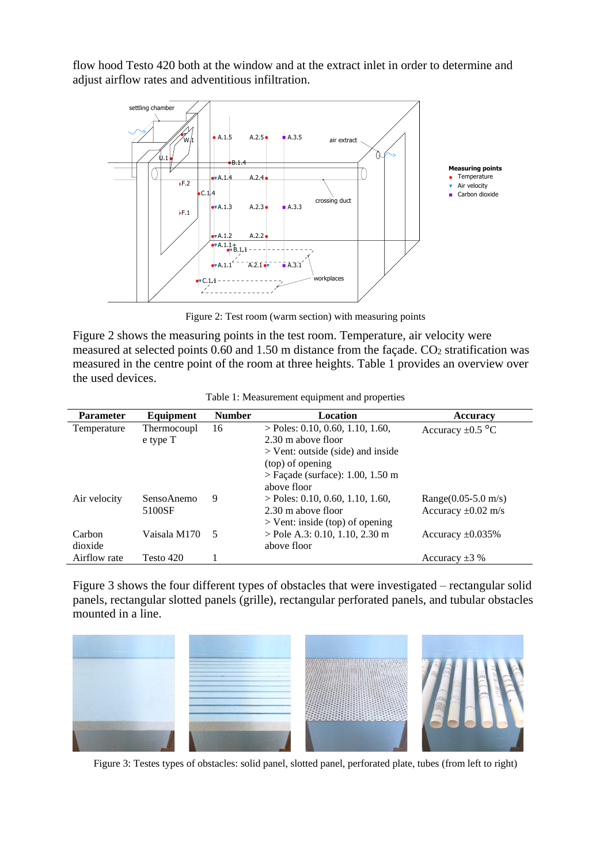flow hood Testo 420 both at the window and at the extract inlet in order to determine and adjust airflow rates and adventitious infiltration.



Figure 2: Test room (warm section) with measuring points

<span id="page-3-0"></span>[Figure 2](#page-3-0) shows the measuring points in the test room. Temperature, air velocity were measured at selected points 0.60 and 1.50 m distance from the façade. CO<sub>2</sub> stratification was measured in the centre point of the room at three heights. [Table 1](#page-3-1) provides an overview over the used devices.

<span id="page-3-1"></span>

| <b>Parameter</b>  | Equipment               | <b>Number</b> | Location                                                                                                                                                  | <b>Accuracy</b>                                     |
|-------------------|-------------------------|---------------|-----------------------------------------------------------------------------------------------------------------------------------------------------------|-----------------------------------------------------|
| Temperature       | Thermocoupl<br>e type T | 16            | $>$ Poles: 0.10, 0.60, 1.10, 1.60,<br>2.30 m above floor<br>$>$ Vent: outside (side) and inside<br>(top) of opening<br>$>$ Façade (surface): 1.00, 1.50 m | Accuracy $\pm 0.5$ °C                               |
| Air velocity      | SensoAnemo<br>5100SF    | 9             | above floor<br>$>$ Poles: 0.10, 0.60, 1.10, 1.60,<br>2.30 m above floor<br>$>$ Vent: inside (top) of opening                                              | Range $(0.05 - 5.0$ m/s)<br>Accuracy $\pm 0.02$ m/s |
| Carbon<br>dioxide | Vaisala M170            | .5            | $>$ Pole A.3: 0.10, 1.10, 2.30 m<br>above floor                                                                                                           | Accuracy $\pm 0.035\%$                              |
| Airflow rate      | Testo 420               |               |                                                                                                                                                           | Accuracy $\pm 3$ %                                  |

[Figure 3](#page-3-2) shows the four different types of obstacles that were investigated – rectangular solid panels, rectangular slotted panels (grille), rectangular perforated panels, and tubular obstacles mounted in a line.

<span id="page-3-2"></span>

Figure 3: Testes types of obstacles: solid panel, slotted panel, perforated plate, tubes (from left to right)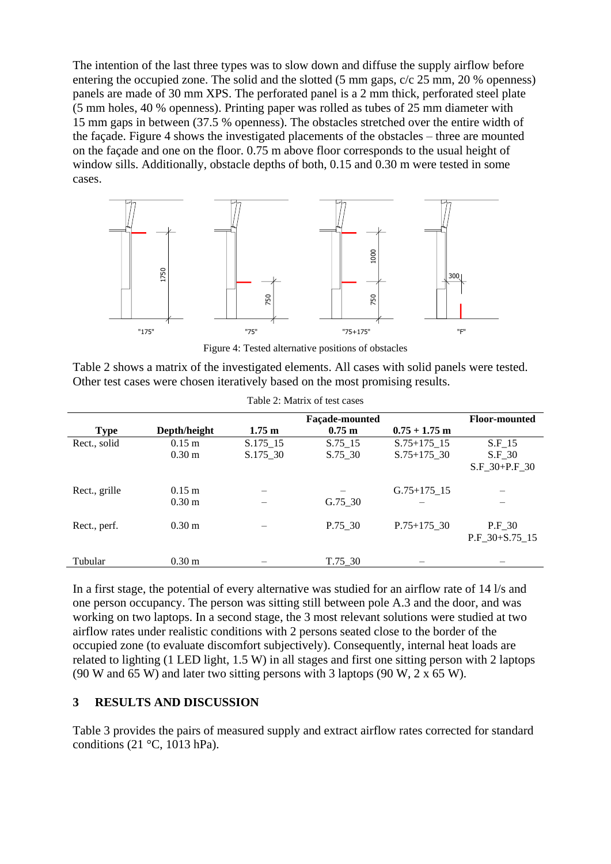The intention of the last three types was to slow down and diffuse the supply airflow before entering the occupied zone. The solid and the slotted (5 mm gaps, c/c 25 mm, 20 % openness) panels are made of 30 mm XPS. The perforated panel is a 2 mm thick, perforated steel plate (5 mm holes, 40 % openness). Printing paper was rolled as tubes of 25 mm diameter with 15 mm gaps in between (37.5 % openness). The obstacles stretched over the entire width of the façade. [Figure 4](#page-4-0) shows the investigated placements of the obstacles – three are mounted on the façade and one on the floor. 0.75 m above floor corresponds to the usual height of window sills. Additionally, obstacle depths of both, 0.15 and 0.30 m were tested in some cases.



Figure 4: Tested alternative positions of obstacles

<span id="page-4-0"></span>

| Table 2 shows a matrix of the investigated elements. All cases with solid panels were tested. |  |
|-----------------------------------------------------------------------------------------------|--|
| Other test cases were chosen iteratively based on the most promising results.                 |  |

<span id="page-4-1"></span>

|               |                   |                  | <b>Façade-mounted</b> |                 | <b>Floor-mounted</b> |
|---------------|-------------------|------------------|-----------------------|-----------------|----------------------|
| <b>Type</b>   | Depth/height      | $1.75 \text{ m}$ | $0.75 \text{ m}$      | $0.75 + 1.75$ m |                      |
| Rect., solid  | $0.15 \;{\rm m}$  | S.175 15         | S.75 15               | $S.75+175-15$   | $S.F_15$             |
|               | 0.30 <sub>m</sub> | $S.175\_30$      | $S.75 - 30$           | $S.75+175-30$   | $S.F_30$             |
|               |                   |                  |                       |                 | $S.F 30+P.F 30$      |
|               |                   |                  |                       |                 |                      |
| Rect., grille | $0.15$ m          |                  |                       | $G.75+175-15$   |                      |
|               | 0.30 <sub>m</sub> |                  | G.75 30               |                 |                      |
|               |                   |                  |                       |                 |                      |
| Rect., perf.  | 0.30 <sub>m</sub> |                  | P.75 30               | $P.75+175$ 30   | $P.F_30$             |
|               |                   |                  |                       |                 | P.F 30+S.75 15       |
|               |                   |                  |                       |                 |                      |
| Tubular       | 0.30 <sub>m</sub> |                  | T.75 30               |                 |                      |

Table 2: Matrix of test cases

In a first stage, the potential of every alternative was studied for an airflow rate of 14 l/s and one person occupancy. The person was sitting still between pole A.3 and the door, and was working on two laptops. In a second stage, the 3 most relevant solutions were studied at two airflow rates under realistic conditions with 2 persons seated close to the border of the occupied zone (to evaluate discomfort subjectively). Consequently, internal heat loads are related to lighting (1 LED light, 1.5 W) in all stages and first one sitting person with 2 laptops (90 W and 65 W) and later two sitting persons with 3 laptops (90 W,  $2 \times 65$  W).

### **3 RESULTS AND DISCUSSION**

[Table 3](#page-5-0) provides the pairs of measured supply and extract airflow rates corrected for standard conditions (21 $\degree$ C, 1013 hPa).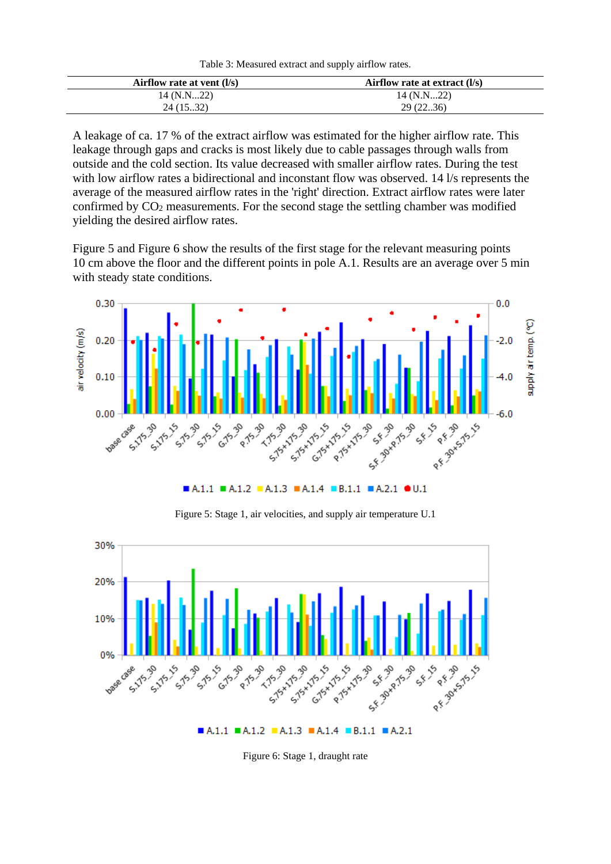<span id="page-5-0"></span>

| Airflow rate at vent $(l/s)$ | Airflow rate at extract $(l/s)$ |
|------------------------------|---------------------------------|
| 14 (N.N22)                   | 14 (N.N22)                      |
| 24(15.32)                    | 29(22.36)                       |

A leakage of ca. 17 % of the extract airflow was estimated for the higher airflow rate. This leakage through gaps and cracks is most likely due to cable passages through walls from outside and the cold section. Its value decreased with smaller airflow rates. During the test with low airflow rates a bidirectional and inconstant flow was observed. 14 l/s represents the average of the measured airflow rates in the 'right' direction. Extract airflow rates were later confirmed by CO<sup>2</sup> measurements. For the second stage the settling chamber was modified yielding the desired airflow rates.

[Figure 5](#page-5-1) and [Figure 6](#page-5-2) show the results of the first stage for the relevant measuring points 10 cm above the floor and the different points in pole A.1. Results are an average over 5 min with steady state conditions.



 $A.1.1 = A.1.2 = A.1.3 = A.1.4 = B.1.1 = A.2.1 = 0.1$ 

Figure 5: Stage 1, air velocities, and supply air temperature U.1

<span id="page-5-1"></span>

<span id="page-5-2"></span>Figure 6: Stage 1, draught rate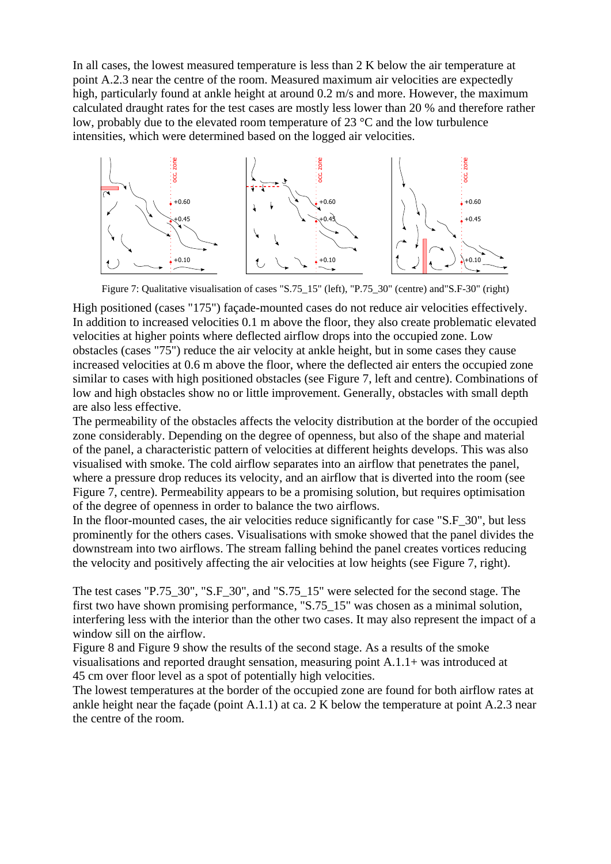In all cases, the lowest measured temperature is less than 2 K below the air temperature at point A.2.3 near the centre of the room. Measured maximum air velocities are expectedly high, particularly found at ankle height at around 0.2 m/s and more. However, the maximum calculated draught rates for the test cases are mostly less lower than 20 % and therefore rather low, probably due to the elevated room temperature of 23 °C and the low turbulence intensities, which were determined based on the logged air velocities.



Figure 7: Qualitative visualisation of cases "S.75\_15" (left), "P.75\_30" (centre) and"S.F-30" (right)

<span id="page-6-0"></span>High positioned (cases "175") façade-mounted cases do not reduce air velocities effectively. In addition to increased velocities 0.1 m above the floor, they also create problematic elevated velocities at higher points where deflected airflow drops into the occupied zone. Low obstacles (cases "75") reduce the air velocity at ankle height, but in some cases they cause increased velocities at 0.6 m above the floor, where the deflected air enters the occupied zone similar to cases with high positioned obstacles (see [Figure 7,](#page-6-0) left and centre). Combinations of low and high obstacles show no or little improvement. Generally, obstacles with small depth are also less effective.

The permeability of the obstacles affects the velocity distribution at the border of the occupied zone considerably. Depending on the degree of openness, but also of the shape and material of the panel, a characteristic pattern of velocities at different heights develops. This was also visualised with smoke. The cold airflow separates into an airflow that penetrates the panel, where a pressure drop reduces its velocity, and an airflow that is diverted into the room (see [Figure 7,](#page-6-0) centre). Permeability appears to be a promising solution, but requires optimisation of the degree of openness in order to balance the two airflows.

In the floor-mounted cases, the air velocities reduce significantly for case "S.F 30", but less prominently for the others cases. Visualisations with smoke showed that the panel divides the downstream into two airflows. The stream falling behind the panel creates vortices reducing the velocity and positively affecting the air velocities at low heights (see [Figure 7,](#page-6-0) right).

The test cases "P.75  $30$ ", "S.F  $30$ ", and "S.75  $15$ " were selected for the second stage. The first two have shown promising performance, "S.75\_15" was chosen as a minimal solution, interfering less with the interior than the other two cases. It may also represent the impact of a window sill on the airflow.

[Figure 8](#page-7-0) and [Figure 9](#page-7-1) show the results of the second stage. As a results of the smoke visualisations and reported draught sensation, measuring point A.1.1+ was introduced at 45 cm over floor level as a spot of potentially high velocities.

The lowest temperatures at the border of the occupied zone are found for both airflow rates at ankle height near the façade (point A.1.1) at ca. 2 K below the temperature at point A.2.3 near the centre of the room.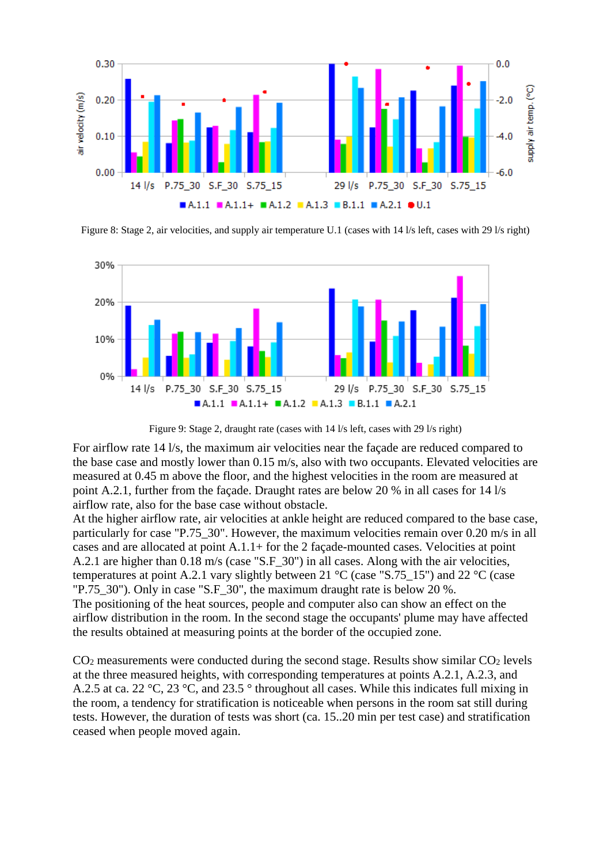

<span id="page-7-0"></span>Figure 8: Stage 2, air velocities, and supply air temperature U.1 (cases with 14 l/s left, cases with 29 l/s right)



Figure 9: Stage 2, draught rate (cases with 14 l/s left, cases with 29 l/s right)

<span id="page-7-1"></span>For airflow rate 14 l/s, the maximum air velocities near the façade are reduced compared to the base case and mostly lower than 0.15 m/s, also with two occupants. Elevated velocities are measured at 0.45 m above the floor, and the highest velocities in the room are measured at point A.2.1, further from the façade. Draught rates are below 20 % in all cases for 14 l/s airflow rate, also for the base case without obstacle.

At the higher airflow rate, air velocities at ankle height are reduced compared to the base case, particularly for case "P.75\_30". However, the maximum velocities remain over 0.20 m/s in all cases and are allocated at point A.1.1+ for the 2 façade-mounted cases. Velocities at point A.2.1 are higher than 0.18 m/s (case "S.F 30") in all cases. Along with the air velocities, temperatures at point A.2.1 vary slightly between 21 °C (case "S.75\_15") and 22 °C (case "P.75  $30$ "). Only in case "S.F  $30$ ", the maximum draught rate is below 20 %. The positioning of the heat sources, people and computer also can show an effect on the airflow distribution in the room. In the second stage the occupants' plume may have affected the results obtained at measuring points at the border of the occupied zone.

 $CO<sub>2</sub>$  measurements were conducted during the second stage. Results show similar  $CO<sub>2</sub>$  levels at the three measured heights, with corresponding temperatures at points A.2.1, A.2.3, and A.2.5 at ca. 22 °C, 23 °C, and 23.5 ° throughout all cases. While this indicates full mixing in the room, a tendency for stratification is noticeable when persons in the room sat still during tests. However, the duration of tests was short (ca. 15..20 min per test case) and stratification ceased when people moved again.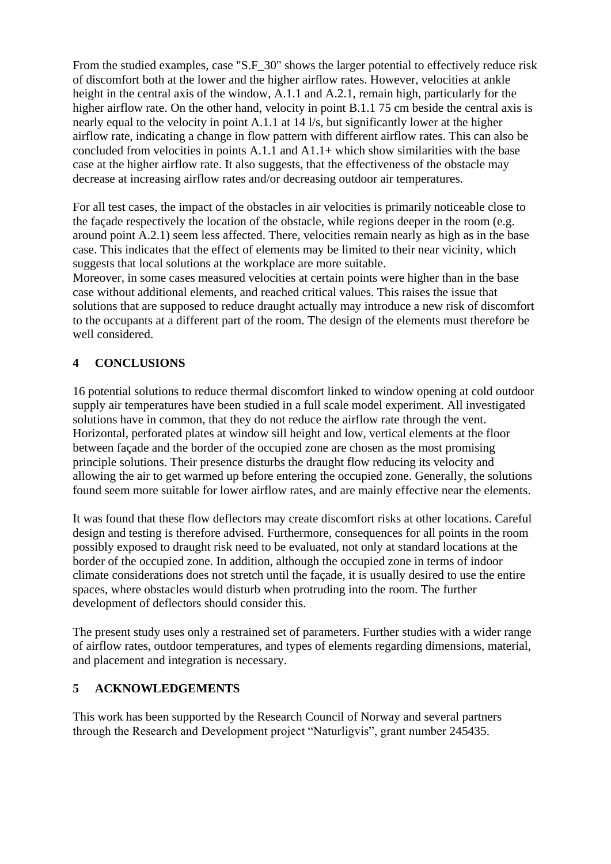From the studied examples, case "S.F. 30" shows the larger potential to effectively reduce risk of discomfort both at the lower and the higher airflow rates. However, velocities at ankle height in the central axis of the window, A.1.1 and A.2.1, remain high, particularly for the higher airflow rate. On the other hand, velocity in point B.1.1 75 cm beside the central axis is nearly equal to the velocity in point A.1.1 at 14 l/s, but significantly lower at the higher airflow rate, indicating a change in flow pattern with different airflow rates. This can also be concluded from velocities in points A.1.1 and A1.1+ which show similarities with the base case at the higher airflow rate. It also suggests, that the effectiveness of the obstacle may decrease at increasing airflow rates and/or decreasing outdoor air temperatures.

For all test cases, the impact of the obstacles in air velocities is primarily noticeable close to the façade respectively the location of the obstacle, while regions deeper in the room (e.g. around point A.2.1) seem less affected. There, velocities remain nearly as high as in the base case. This indicates that the effect of elements may be limited to their near vicinity, which suggests that local solutions at the workplace are more suitable.

Moreover, in some cases measured velocities at certain points were higher than in the base case without additional elements, and reached critical values. This raises the issue that solutions that are supposed to reduce draught actually may introduce a new risk of discomfort to the occupants at a different part of the room. The design of the elements must therefore be well considered.

## **4 CONCLUSIONS**

16 potential solutions to reduce thermal discomfort linked to window opening at cold outdoor supply air temperatures have been studied in a full scale model experiment. All investigated solutions have in common, that they do not reduce the airflow rate through the vent. Horizontal, perforated plates at window sill height and low, vertical elements at the floor between façade and the border of the occupied zone are chosen as the most promising principle solutions. Their presence disturbs the draught flow reducing its velocity and allowing the air to get warmed up before entering the occupied zone. Generally, the solutions found seem more suitable for lower airflow rates, and are mainly effective near the elements.

It was found that these flow deflectors may create discomfort risks at other locations. Careful design and testing is therefore advised. Furthermore, consequences for all points in the room possibly exposed to draught risk need to be evaluated, not only at standard locations at the border of the occupied zone. In addition, although the occupied zone in terms of indoor climate considerations does not stretch until the façade, it is usually desired to use the entire spaces, where obstacles would disturb when protruding into the room. The further development of deflectors should consider this.

The present study uses only a restrained set of parameters. Further studies with a wider range of airflow rates, outdoor temperatures, and types of elements regarding dimensions, material, and placement and integration is necessary.

### **5 ACKNOWLEDGEMENTS**

This work has been supported by the Research Council of Norway and several partners through the Research and Development project "Naturligvis", grant number 245435.